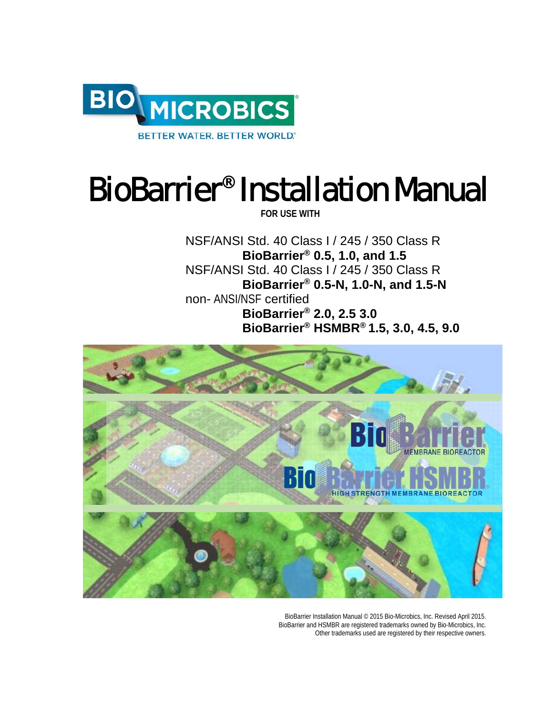

# BioBarrier® Installation Manual

**FOR USE WITH** 

NSF/ANSI Std. 40 Class I / 245 / 350 Class R **BioBarrier® 0.5, 1.0, and 1.5**  NSF/ANSI Std. 40 Class I / 245 / 350 Class R **BioBarrier® 0.5-N, 1.0-N, and 1.5-N** non- ANSI/NSF certified **BioBarrier® 2.0, 2.5 3.0 BioBarrier® HSMBR® 1.5, 3.0, 4.5, 9.0**  



BioBarrier Installation Manual © 2015 Bio-Microbics, Inc. Revised April 2015. BioBarrier and HSMBR are registered trademarks owned by Bio-Microbics, Inc. Other trademarks used are registered by their respective owners.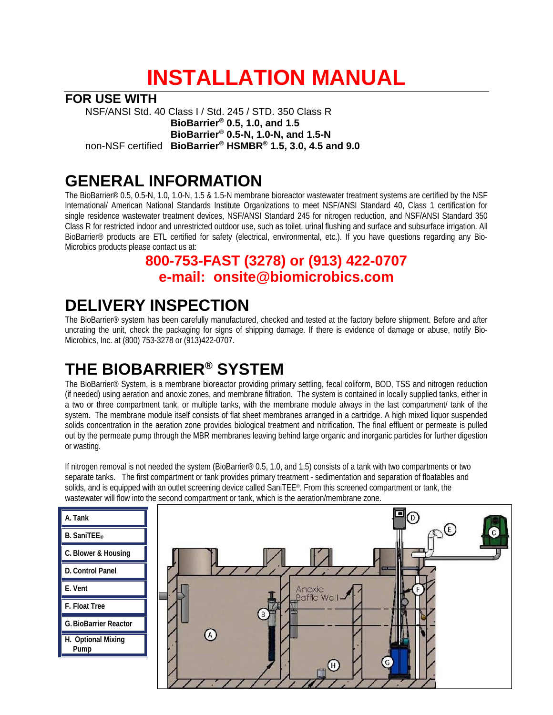## **INSTALLATION MANUAL**

**FOR USE WITH** 

NSF/ANSI Std. 40 Class I / Std. 245 / STD. 350 Class R **BioBarrier® 0.5, 1.0, and 1.5 BioBarrier® 0.5-N, 1.0-N, and 1.5-N** non-NSF certified **BioBarrier® HSMBR® 1.5, 3.0, 4.5 and 9.0** 

## **GENERAL INFORMATION**

The BioBarrier® 0.5, 0.5-N, 1.0, 1.0-N, 1.5 & 1.5-N membrane bioreactor wastewater treatment systems are certified by the NSF International/ American National Standards Institute Organizations to meet NSF/ANSI Standard 40, Class 1 certification for single residence wastewater treatment devices, NSF/ANSI Standard 245 for nitrogen reduction, and NSF/ANSI Standard 350 Class R for restricted indoor and unrestricted outdoor use, such as toilet, urinal flushing and surface and subsurface irrigation. All BioBarrier® products are ETL certified for safety (electrical, environmental, etc.). If you have questions regarding any Bio-Microbics products please contact us at:

#### **800-753-FAST (3278) or (913) 422-0707 e-mail: onsite@biomicrobics.com**

## **DELIVERY INSPECTION**

The BioBarrier® system has been carefully manufactured, checked and tested at the factory before shipment. Before and after uncrating the unit, check the packaging for signs of shipping damage. If there is evidence of damage or abuse, notify Bio-Microbics, Inc. at (800) 753-3278 or (913)422-0707.

## **THE BIOBARRIER® SYSTEM**

The BioBarrier® System, is a membrane bioreactor providing primary settling, fecal coliform, BOD, TSS and nitrogen reduction (if needed) using aeration and anoxic zones, and membrane filtration. The system is contained in locally supplied tanks, either in a two or three compartment tank, or multiple tanks, with the membrane module always in the last compartment/ tank of the system. The membrane module itself consists of flat sheet membranes arranged in a cartridge. A high mixed liquor suspended solids concentration in the aeration zone provides biological treatment and nitrification. The final effluent or permeate is pulled out by the permeate pump through the MBR membranes leaving behind large organic and inorganic particles for further digestion or wasting.

If nitrogen removal is not needed the system (BioBarrier® 0.5, 1.0, and 1.5) consists of a tank with two compartments or two separate tanks. The first compartment or tank provides primary treatment - sedimentation and separation of floatables and solids, and is equipped with an outlet screening device called SaniTEE®. From this screened compartment or tank, the wastewater will flow into the second compartment or tank, which is the aeration/membrane zone.

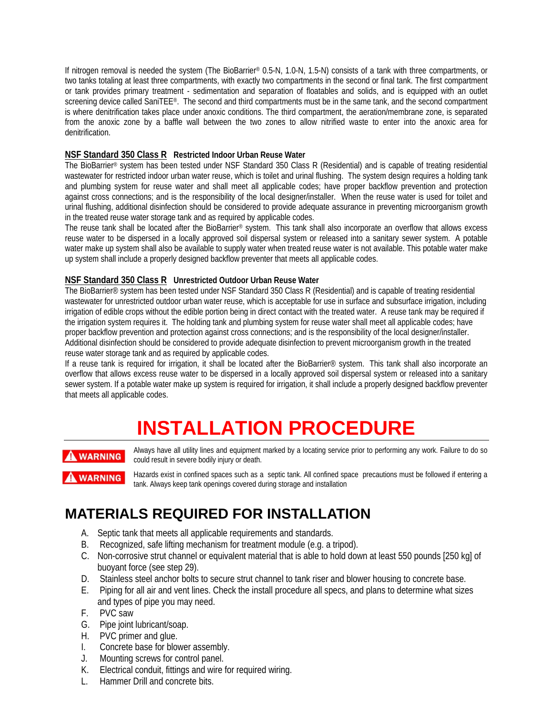If nitrogen removal is needed the system (The BioBarrier® 0.5-N, 1.0-N, 1.5-N) consists of a tank with three compartments, or two tanks totaling at least three compartments, with exactly two compartments in the second or final tank. The first compartment or tank provides primary treatment - sedimentation and separation of floatables and solids, and is equipped with an outlet screening device called SaniTEE®. The second and third compartments must be in the same tank, and the second compartment is where denitrification takes place under anoxic conditions. The third compartment, the aeration/membrane zone, is separated from the anoxic zone by a baffle wall between the two zones to allow nitrified waste to enter into the anoxic area for denitrification.

#### **NSF Standard 350 Class R Restricted Indoor Urban Reuse Water**

The BioBarrier® system has been tested under NSF Standard 350 Class R (Residential) and is capable of treating residential wastewater for restricted indoor urban water reuse, which is toilet and urinal flushing. The system design requires a holding tank and plumbing system for reuse water and shall meet all applicable codes; have proper backflow prevention and protection against cross connections; and is the responsibility of the local designer/installer. When the reuse water is used for toilet and urinal flushing, additional disinfection should be considered to provide adequate assurance in preventing microorganism growth in the treated reuse water storage tank and as required by applicable codes.

The reuse tank shall be located after the BioBarrier® system. This tank shall also incorporate an overflow that allows excess reuse water to be dispersed in a locally approved soil dispersal system or released into a sanitary sewer system. A potable water make up system shall also be available to supply water when treated reuse water is not available. This potable water make up system shall include a properly designed backflow preventer that meets all applicable codes.

#### **NSF Standard 350 Class R Unrestricted Outdoor Urban Reuse Water**

The BioBarrier® system has been tested under NSF Standard 350 Class R (Residential) and is capable of treating residential wastewater for unrestricted outdoor urban water reuse, which is acceptable for use in surface and subsurface irrigation, including irrigation of edible crops without the edible portion being in direct contact with the treated water. A reuse tank may be required if the irrigation system requires it. The holding tank and plumbing system for reuse water shall meet all applicable codes; have proper backflow prevention and protection against cross connections; and is the responsibility of the local designer/installer. Additional disinfection should be considered to provide adequate disinfection to prevent microorganism growth in the treated reuse water storage tank and as required by applicable codes.

If a reuse tank is required for irrigation, it shall be located after the BioBarrier® system. This tank shall also incorporate an overflow that allows excess reuse water to be dispersed in a locally approved soil dispersal system or released into a sanitary sewer system. If a potable water make up system is required for irrigation, it shall include a properly designed backflow preventer that meets all applicable codes.

## **INSTALLATION PROCEDURE**

#### **WARNING**

Always have all utility lines and equipment marked by a locating service prior to performing any work. Failure to do so could result in severe bodily injury or death.

**AWARNING** 

Hazards exist in confined spaces such as a septic tank. All confined space precautions must be followed if entering a tank. Always keep tank openings covered during storage and installation

#### **MATERIALS REQUIRED FOR INSTALLATION**

- A. Septic tank that meets all applicable requirements and standards.
- B. Recognized, safe lifting mechanism for treatment module (e.g. a tripod).
- C. Non-corrosive strut channel or equivalent material that is able to hold down at least 550 pounds [250 kg] of buoyant force (see step 29).
- D. Stainless steel anchor bolts to secure strut channel to tank riser and blower housing to concrete base.
- E. Piping for all air and vent lines. Check the install procedure all specs, and plans to determine what sizes and types of pipe you may need.
- F. PVC saw
- G. Pipe joint lubricant/soap.
- H. PVC primer and glue.
- I. Concrete base for blower assembly.
- J. Mounting screws for control panel.
- K. Electrical conduit, fittings and wire for required wiring.
- L. Hammer Drill and concrete bits.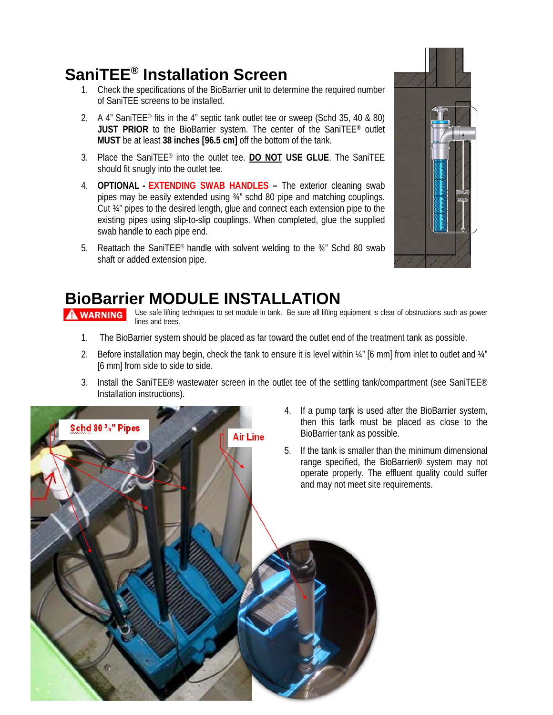## **SaniTEE® Installation Screen**

- 1. Check the specifications of the BioBarrier unit to determine the required number of SaniTEE screens to be installed.
- 2. A 4" SaniTEE® fits in the 4" septic tank outlet tee or sweep (Schd 35, 40 & 80) JUST PRIOR to the BioBarrier system. The center of the SaniTEE<sup>®</sup> outlet **MUST** be at least **38 inches [96.5 cm]** off the bottom of the tank.
- 3. Place the SaniTEE® into the outlet tee. **DO NOT USE GLUE**. The SaniTEE should fit snugly into the outlet tee.
- 4. **OPTIONAL - EXTENDING SWAB HANDLES** The exterior cleaning swab pipes may be easily extended using ¾" schd 80 pipe and matching couplings. Cut ¾" pipes to the desired length, glue and connect each extension pipe to the existing pipes using slip-to-slip couplings. When completed, glue the supplied swab handle to each pipe end.
- 5. Reattach the SaniTEE® handle with solvent welding to the ¾" Schd 80 swab shaft or added extension pipe.



## **BioBarrier MODULE INSTALLATION**

Use safe lifting techniques to set module in tank. Be sure all lifting equipment is clear of obstructions such as power lines and trees.

- 1. The BioBarrier system should be placed as far toward the outlet end of the treatment tank as possible.
- 2. Before installation may begin, check the tank to ensure it is level within ¼" [6 mm] from inlet to outlet and ¼" [6 mm] from side to side to side.
- 3. Install the SaniTEE<sup>®</sup> wastewater screen in the outlet tee of the settling tank/compartment (see SaniTEE<sup>®</sup> Installation instructions).



- 4. If a pump tank is used after the BioBarrier system, then this tank must be placed as close to the
- 5. If the tank is smaller than the minimum dimensional range specified, the BioBarrier® system may not operate properly. The effluent quality could suffer and may not meet site requirements.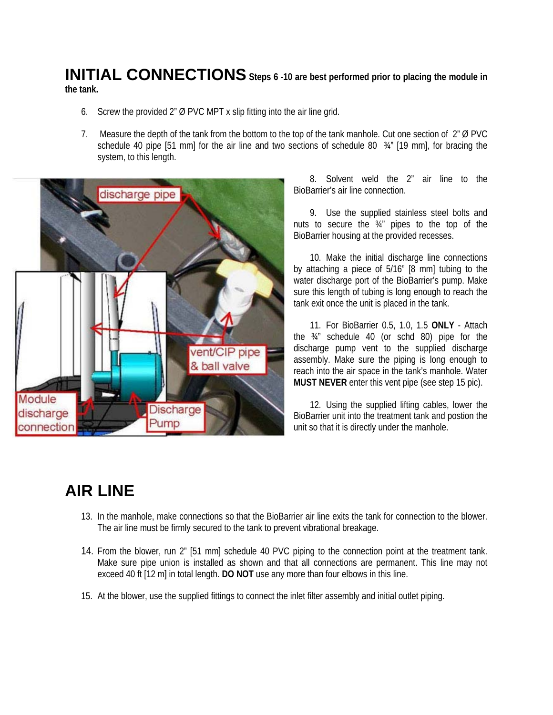#### **INITIAL CONNECTIONS Steps 6 -10 are best performed prior to placing the module in the tank.**

- 6. Screw the provided 2" Ø PVC MPT x slip fitting into the air line grid.
- 7. Measure the depth of the tank from the bottom to the top of the tank manhole. Cut one section of 2" Ø PVC schedule 40 pipe [51 mm] for the air line and two sections of schedule 80  $\frac{3}{4}$ " [19 mm], for bracing the system, to this length.



8. Solvent weld the 2" air line to the BioBarrier's air line connection.

9. Use the supplied stainless steel bolts and nuts to secure the ¾" pipes to the top of the BioBarrier housing at the provided recesses.

10. Make the initial discharge line connections by attaching a piece of 5/16" [8 mm] tubing to the water discharge port of the BioBarrier's pump. Make sure this length of tubing is long enough to reach the tank exit once the unit is placed in the tank.

11. For BioBarrier 0.5, 1.0, 1.5 **ONLY** - Attach the ¾" schedule 40 (or schd 80) pipe for the discharge pump vent to the supplied discharge assembly. Make sure the piping is long enough to reach into the air space in the tank's manhole. Water **MUST NEVER** enter this vent pipe (see step 15 pic).

12. Using the supplied lifting cables, lower the BioBarrier unit into the treatment tank and postion the unit so that it is directly under the manhole.

## **AIR LINE**

- 13. In the manhole, make connections so that the BioBarrier air line exits the tank for connection to the blower. The air line must be firmly secured to the tank to prevent vibrational breakage.
- 14. From the blower, run 2" [51 mm] schedule 40 PVC piping to the connection point at the treatment tank. Make sure pipe union is installed as shown and that all connections are permanent. This line may not exceed 40 ft [12 m] in total length. **DO NOT** use any more than four elbows in this line.
- 15. At the blower, use the supplied fittings to connect the inlet filter assembly and initial outlet piping.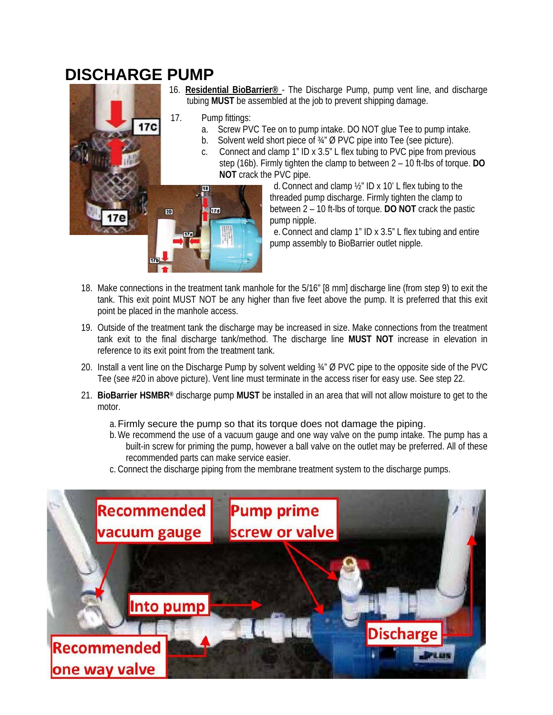### **DISCHARGE PUMP**



- 16. **Residential BioBarrier®**  The Discharge Pump, pump vent line, and discharge tubing **MUST** be assembled at the job to prevent shipping damage.
- 17. Pump fittings:

 $17d$ 

- a. Screw PVC Tee on to pump intake. DO NOT glue Tee to pump intake.
- Solvent weld short piece of 34" Ø PVC pipe into Tee (see picture).
- c. Connect and clamp 1" ID x 3.5" L flex tubing to PVC pipe from previous step (16b). Firmly tighten the clamp to between 2 – 10 ft-lbs of torque. **DO NOT** crack the PVC pipe.

d.Connect and clamp ½" ID x 10' L flex tubing to the threaded pump discharge. Firmly tighten the clamp to between 2 – 10 ft-lbs of torque. **DO NOT** crack the pastic pump nipple.

e.Connect and clamp 1" ID x 3.5" L flex tubing and entire pump assembly to BioBarrier outlet nipple.

- 18. Make connections in the treatment tank manhole for the 5/16" [8 mm] discharge line (from step 9) to exit the tank. This exit point MUST NOT be any higher than five feet above the pump. It is preferred that this exit point be placed in the manhole access.
- 19. Outside of the treatment tank the discharge may be increased in size. Make connections from the treatment tank exit to the final discharge tank/method. The discharge line **MUST NOT** increase in elevation in reference to its exit point from the treatment tank.
- 20. Install a vent line on the Discharge Pump by solvent welding ¾" Ø PVC pipe to the opposite side of the PVC Tee (see #20 in above picture). Vent line must terminate in the access riser for easy use. See step 22.
- 21. **BioBarrier HSMBR®** discharge pump **MUST** be installed in an area that will not allow moisture to get to the motor.

#### a. Firmly secure the pump so that its torque does not damage the piping.

- b.We recommend the use of a vacuum gauge and one way valve on the pump intake. The pump has a built-in screw for priming the pump, however a ball valve on the outlet may be preferred. All of these recommended parts can make service easier.
- c. Connect the discharge piping from the membrane treatment system to the discharge pumps.

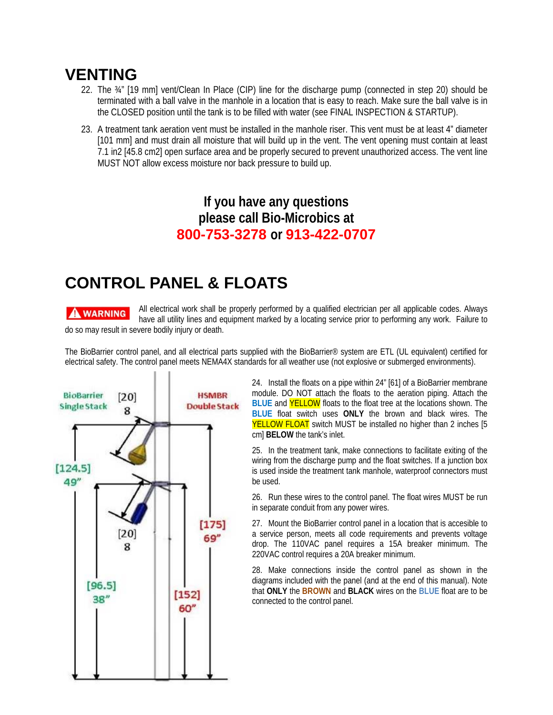### **VENTING**

- 22. The ¾" [19 mm] vent/Clean In Place (CIP) line for the discharge pump (connected in step 20) should be terminated with a ball valve in the manhole in a location that is easy to reach. Make sure the ball valve is in the CLOSED position until the tank is to be filled with water (see FINAL INSPECTION & STARTUP).
- 23. A treatment tank aeration vent must be installed in the manhole riser. This vent must be at least 4" diameter [101 mm] and must drain all moisture that will build up in the vent. The vent opening must contain at least 7.1 in2 [45.8 cm2] open surface area and be properly secured to prevent unauthorized access. The vent line MUST NOT allow excess moisture nor back pressure to build up.

#### **If you have any questions please call Bio-Microbics at 800-753-3278 or 913-422-0707**

## **CONTROL PANEL & FLOATS**

#### **A WARNING**

All electrical work shall be properly performed by a qualified electrician per all applicable codes. Always have all utility lines and equipment marked by a locating service prior to performing any work. Failure to do so may result in severe bodily injury or death.

The BioBarrier control panel, and all electrical parts supplied with the BioBarrier® system are ETL (UL equivalent) certified for electrical safety. The control panel meets NEMA4X standards for all weather use (not explosive or submerged environments).



24. Install the floats on a pipe within 24" [61] of a BioBarrier membrane module. DO NOT attach the floats to the aeration piping. Attach the **BLUE** and YELLOW floats to the float tree at the locations shown. The **BLUE** float switch uses **ONLY** the brown and black wires. The YELLOW FLOAT switch MUST be installed no higher than 2 inches [5] cm] **BELOW** the tank's inlet.

25. In the treatment tank, make connections to facilitate exiting of the wiring from the discharge pump and the float switches. If a junction box is used inside the treatment tank manhole, waterproof connectors must be used.

26. Run these wires to the control panel. The float wires MUST be run in separate conduit from any power wires.

27. Mount the BioBarrier control panel in a location that is accesible to a service person, meets all code requirements and prevents voltage drop. The 110VAC panel requires a 15A breaker minimum. The 220VAC control requires a 20A breaker minimum.

28. Make connections inside the control panel as shown in the diagrams included with the panel (and at the end of this manual). Note that **ONLY** the **BROWN** and **BLACK** wires on the **BLUE** float are to be connected to the control panel.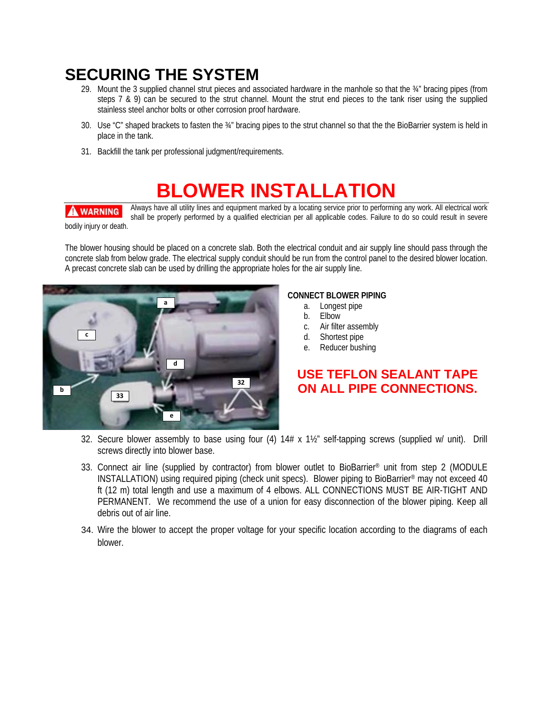## **SECURING THE SYSTEM**

- 29. Mount the 3 supplied channel strut pieces and associated hardware in the manhole so that the ¾" bracing pipes (from steps 7 & 9) can be secured to the strut channel. Mount the strut end pieces to the tank riser using the supplied stainless steel anchor bolts or other corrosion proof hardware.
- 30. Use "C" shaped brackets to fasten the ¾" bracing pipes to the strut channel so that the the BioBarrier system is held in place in the tank.
- 31. Backfill the tank per professional judgment/requirements.

## **BLOWER INSTALLATION**

**A WARNING** 

Always have all utility lines and equipment marked by a locating service prior to performing any work. All electrical work shall be properly performed by a qualified electrician per all applicable codes. Failure to do so could result in severe

bodily injury or death.

The blower housing should be placed on a concrete slab. Both the electrical conduit and air supply line should pass through the concrete slab from below grade. The electrical supply conduit should be run from the control panel to the desired blower location. A precast concrete slab can be used by drilling the appropriate holes for the air supply line.



#### **CONNECT BLOWER PIPING**

- a. Longest pipe
- b. Elbow
- c. Air filter assembly
- d. Shortest pipe
- e. Reducer bushing

#### **USE TEFLON SEALANT TAPE ON ALL PIPE CONNECTIONS.**

- 32. Secure blower assembly to base using four (4) 14# x 1½" self-tapping screws (supplied w/ unit). Drill screws directly into blower base.
- 33. Connect air line (supplied by contractor) from blower outlet to BioBarrier® unit from step 2 (MODULE INSTALLATION) using required piping (check unit specs). Blower piping to BioBarrier® may not exceed 40 ft (12 m) total length and use a maximum of 4 elbows. ALL CONNECTIONS MUST BE AIR-TIGHT AND PERMANENT. We recommend the use of a union for easy disconnection of the blower piping. Keep all debris out of air line.
- 34. Wire the blower to accept the proper voltage for your specific location according to the diagrams of each blower.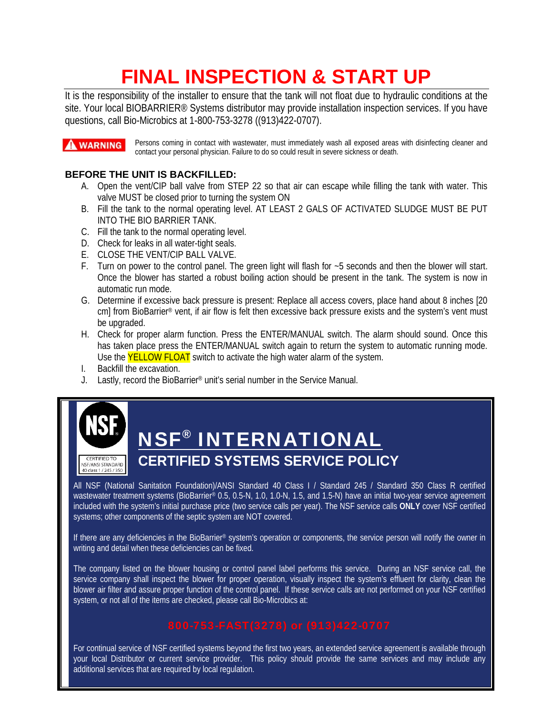## **FINAL INSPECTION & START UP**

It is the responsibility of the installer to ensure that the tank will not float due to hydraulic conditions at the site. Your local BIOBARRIER® Systems distributor may provide installation inspection services. If you have questions, call Bio-Microbics at 1-800-753-3278 ((913)422-0707).

**A WARNING** 

Persons coming in contact with wastewater, must immediately wash all exposed areas with disinfecting cleaner and contact your personal physician. Failure to do so could result in severe sickness or death.

#### **BEFORE THE UNIT IS BACKFILLED:**

- A. Open the vent/CIP ball valve from STEP 22 so that air can escape while filling the tank with water. This valve MUST be closed prior to turning the system ON
- B. Fill the tank to the normal operating level. AT LEAST 2 GALS OF ACTIVATED SLUDGE MUST BE PUT INTO THE BIO BARRIER TANK.
- C. Fill the tank to the normal operating level.
- D. Check for leaks in all water-tight seals.
- E. CLOSE THE VENT/CIP BALL VALVE.
- F. Turn on power to the control panel. The green light will flash for ~5 seconds and then the blower will start. Once the blower has started a robust boiling action should be present in the tank. The system is now in automatic run mode.
- G. Determine if excessive back pressure is present: Replace all access covers, place hand about 8 inches [20 cm] from BioBarrier® vent, if air flow is felt then excessive back pressure exists and the system's vent must be upgraded.
- H. Check for proper alarm function. Press the ENTER/MANUAL switch. The alarm should sound. Once this has taken place press the ENTER/MANUAL switch again to return the system to automatic running mode. Use the **YELLOW FLOAT** switch to activate the high water alarm of the system.
- I. Backfill the excavation.
- J. Lastly, record the BioBarrier® unit's serial number in the Service Manual.



## NSF® INTERNATIONAL **CERTIFIED SYSTEMS SERVICE POLICY**

All NSF (National Sanitation Foundation)/ANSI Standard 40 Class I / Standard 245 / Standard 350 Class R certified wastewater treatment systems (BioBarrier® 0.5, 0.5-N, 1.0, 1.0-N, 1.5, and 1.5-N) have an initial two-year service agreement included with the system's initial purchase price (two service calls per year). The NSF service calls **ONLY** cover NSF certified systems; other components of the septic system are NOT covered.

If there are any deficiencies in the BioBarrier® system's operation or components, the service person will notify the owner in writing and detail when these deficiencies can be fixed.

The company listed on the blower housing or control panel label performs this service. During an NSF service call, the service company shall inspect the blower for proper operation, visually inspect the system's effluent for clarity, clean the blower air filter and assure proper function of the control panel. If these service calls are not performed on your NSF certified system, or not all of the items are checked, please call Bio-Microbics at:

For continual service of NSF certified systems beyond the first two years, an extended service agreement is available through your local Distributor or current service provider. This policy should provide the same services and may include any additional services that are required by local regulation.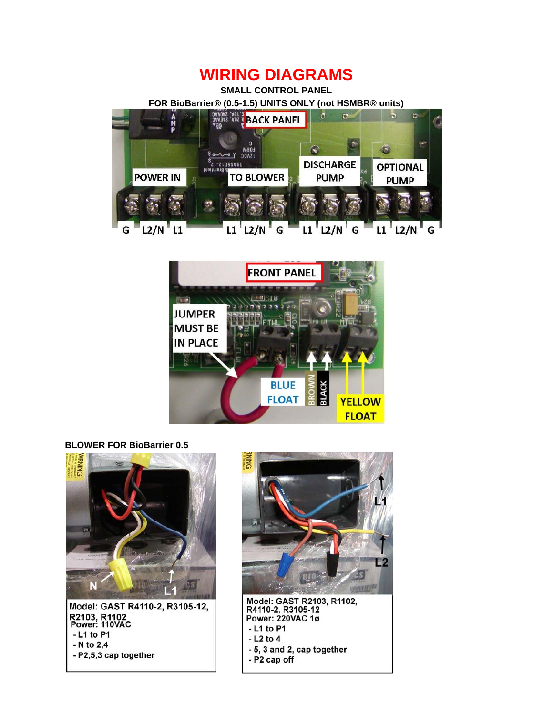#### **WIRING DIAGRAMS**

**SMALL CONTROL PANEL** 

**FOR BioBarrier® (0.5-1.5) UNITS ONLY (not HSMBR® units)**





**BLOWER FOR BioBarrier 0.5** 





Model: GAST R2103, R1102,<br>R4110-2, R3105-12 Power: 220VAC 1ø - L1 to P1  $-$  L<sub>2</sub> to 4 - 5, 3 and 2, cap together - P2 cap off